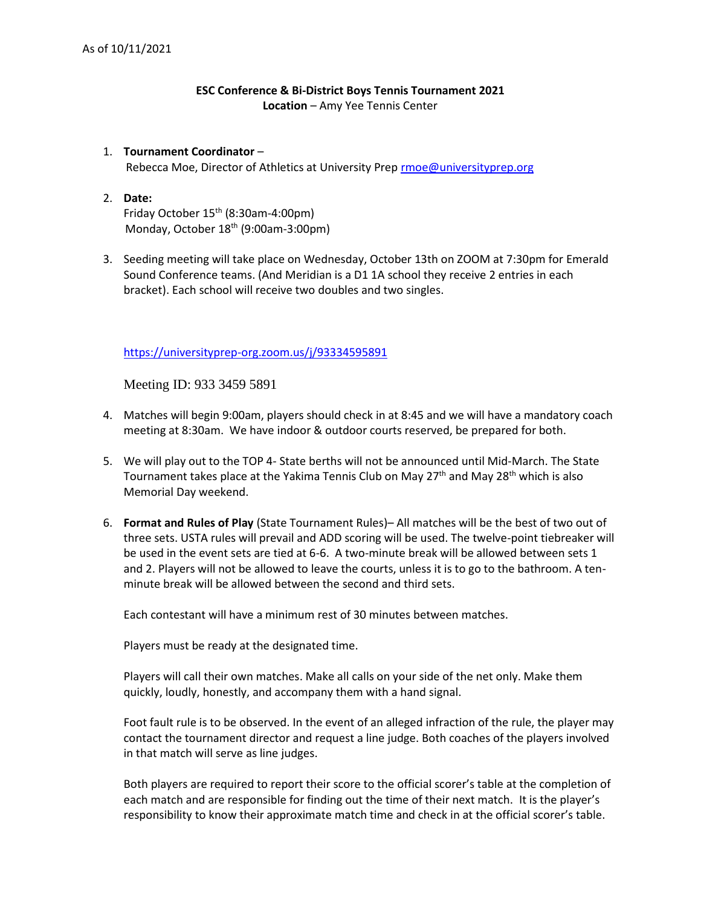# **ESC Conference & Bi-District Boys Tennis Tournament 2021 Location** – Amy Yee Tennis Center

## 1. **Tournament Coordinator** – Rebecca Moe, Director of Athletics at University Prep [rmoe@universityprep.org](mailto:rmoe@universityprep.org)

### 2. **Date:**  Friday October 15th (8:30am-4:00pm) Monday, October 18<sup>th</sup> (9:00am-3:00pm)

3. Seeding meeting will take place on Wednesday, October 13th on ZOOM at 7:30pm for Emerald Sound Conference teams. (And Meridian is a D1 1A school they receive 2 entries in each bracket). Each school will receive two doubles and two singles.

### <https://universityprep-org.zoom.us/j/93334595891>

Meeting ID: 933 3459 5891

- 4. Matches will begin 9:00am, players should check in at 8:45 and we will have a mandatory coach meeting at 8:30am. We have indoor & outdoor courts reserved, be prepared for both.
- 5. We will play out to the TOP 4- State berths will not be announced until Mid-March. The State Tournament takes place at the Yakima Tennis Club on May  $27<sup>th</sup>$  and May  $28<sup>th</sup>$  which is also Memorial Day weekend.
- 6. **Format and Rules of Play** (State Tournament Rules)– All matches will be the best of two out of three sets. USTA rules will prevail and ADD scoring will be used. The twelve-point tiebreaker will be used in the event sets are tied at 6-6. A two-minute break will be allowed between sets 1 and 2. Players will not be allowed to leave the courts, unless it is to go to the bathroom. A tenminute break will be allowed between the second and third sets.

Each contestant will have a minimum rest of 30 minutes between matches.

Players must be ready at the designated time.

Players will call their own matches. Make all calls on your side of the net only. Make them quickly, loudly, honestly, and accompany them with a hand signal.

Foot fault rule is to be observed. In the event of an alleged infraction of the rule, the player may contact the tournament director and request a line judge. Both coaches of the players involved in that match will serve as line judges.

Both players are required to report their score to the official scorer's table at the completion of each match and are responsible for finding out the time of their next match. It is the player's responsibility to know their approximate match time and check in at the official scorer's table.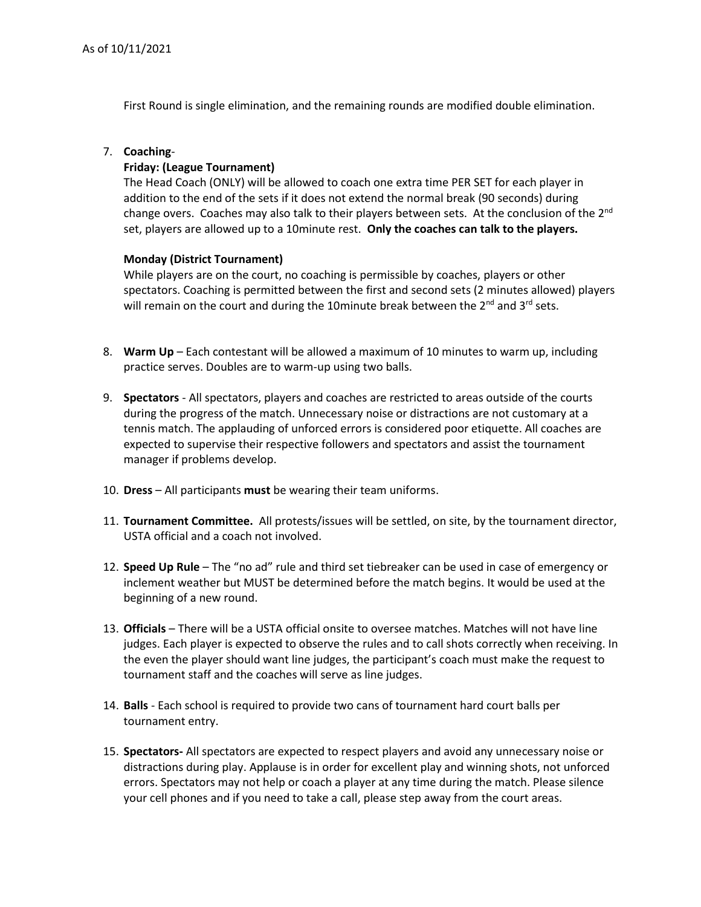First Round is single elimination, and the remaining rounds are modified double elimination.

### 7. **Coaching**-

#### **Friday: (League Tournament)**

The Head Coach (ONLY) will be allowed to coach one extra time PER SET for each player in addition to the end of the sets if it does not extend the normal break (90 seconds) during change overs. Coaches may also talk to their players between sets. At the conclusion of the 2<sup>nd</sup> set, players are allowed up to a 10minute rest. **Only the coaches can talk to the players.**

#### **Monday (District Tournament)**

While players are on the court, no coaching is permissible by coaches, players or other spectators. Coaching is permitted between the first and second sets (2 minutes allowed) players will remain on the court and during the 10minute break between the 2<sup>nd</sup> and 3<sup>rd</sup> sets.

- 8. **Warm Up** Each contestant will be allowed a maximum of 10 minutes to warm up, including practice serves. Doubles are to warm-up using two balls.
- 9. **Spectators**  All spectators, players and coaches are restricted to areas outside of the courts during the progress of the match. Unnecessary noise or distractions are not customary at a tennis match. The applauding of unforced errors is considered poor etiquette. All coaches are expected to supervise their respective followers and spectators and assist the tournament manager if problems develop.
- 10. **Dress**  All participants **must** be wearing their team uniforms.
- 11. **Tournament Committee.** All protests/issues will be settled, on site, by the tournament director, USTA official and a coach not involved.
- 12. **Speed Up Rule** The "no ad" rule and third set tiebreaker can be used in case of emergency or inclement weather but MUST be determined before the match begins. It would be used at the beginning of a new round.
- 13. **Officials** There will be a USTA official onsite to oversee matches. Matches will not have line judges. Each player is expected to observe the rules and to call shots correctly when receiving. In the even the player should want line judges, the participant's coach must make the request to tournament staff and the coaches will serve as line judges.
- 14. **Balls**  Each school is required to provide two cans of tournament hard court balls per tournament entry.
- 15. **Spectators-** All spectators are expected to respect players and avoid any unnecessary noise or distractions during play. Applause is in order for excellent play and winning shots, not unforced errors. Spectators may not help or coach a player at any time during the match. Please silence your cell phones and if you need to take a call, please step away from the court areas.